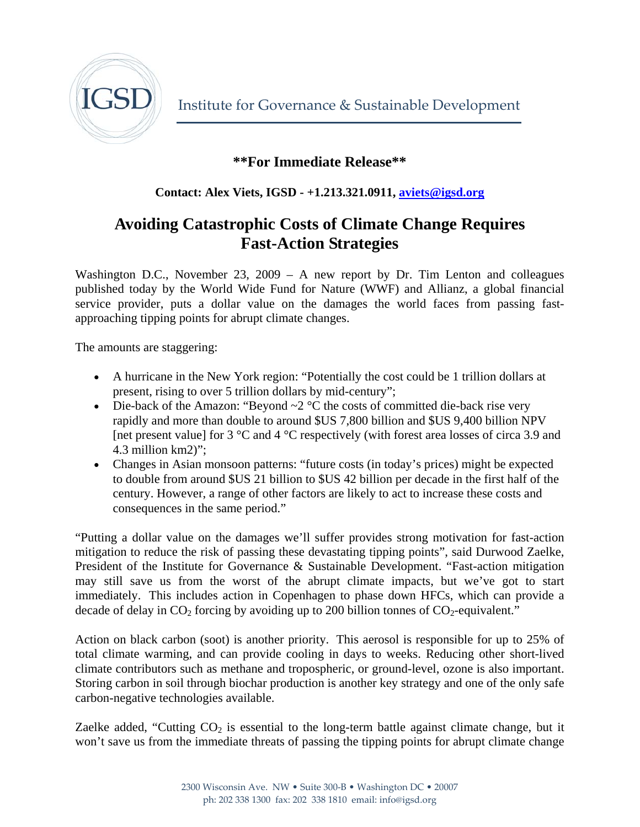

Institute for Governance & Sustainable Development

## **\*\*For Immediate Release\*\***

**Contact: Alex Viets, IGSD - +1.213.321.0911, [aviets@igsd.org](mailto:aviets@igsd.org)** 

## **Avoiding Catastrophic Costs of Climate Change Requires Fast-Action Strategies**

Washington D.C., November 23, 2009 – A new report by Dr. Tim Lenton and colleagues published today by the World Wide Fund for Nature (WWF) and Allianz, a global financial service provider, puts a dollar value on the damages the world faces from passing fastapproaching tipping points for abrupt climate changes.

The amounts are staggering:

- A hurricane in the New York region: "Potentially the cost could be 1 trillion dollars at present, rising to over 5 trillion dollars by mid-century";
- Die-back of the Amazon: "Beyond  $\sim$  2 °C the costs of committed die-back rise very rapidly and more than double to around \$US 7,800 billion and \$US 9,400 billion NPV [net present value] for 3 °C and 4 °C respectively (with forest area losses of circa 3.9 and 4.3 million km2)";
- Changes in Asian monsoon patterns: "future costs (in today's prices) might be expected to double from around \$US 21 billion to \$US 42 billion per decade in the first half of the century. However, a range of other factors are likely to act to increase these costs and consequences in the same period."

"Putting a dollar value on the damages we'll suffer provides strong motivation for fast-action mitigation to reduce the risk of passing these devastating tipping points", said Durwood Zaelke, President of the Institute for Governance & Sustainable Development. "Fast-action mitigation may still save us from the worst of the abrupt climate impacts, but we've got to start immediately. This includes action in Copenhagen to phase down HFCs, which can provide a decade of delay in  $CO_2$  forcing by avoiding up to 200 billion tonnes of  $CO_2$ -equivalent."

Action on black carbon (soot) is another priority. This aerosol is responsible for up to 25% of total climate warming, and can provide cooling in days to weeks. Reducing other short-lived climate contributors such as methane and tropospheric, or ground-level, ozone is also important. Storing carbon in soil through biochar production is another key strategy and one of the only safe carbon-negative technologies available.

Zaelke added, "Cutting  $CO<sub>2</sub>$  is essential to the long-term battle against climate change, but it won't save us from the immediate threats of passing the tipping points for abrupt climate change